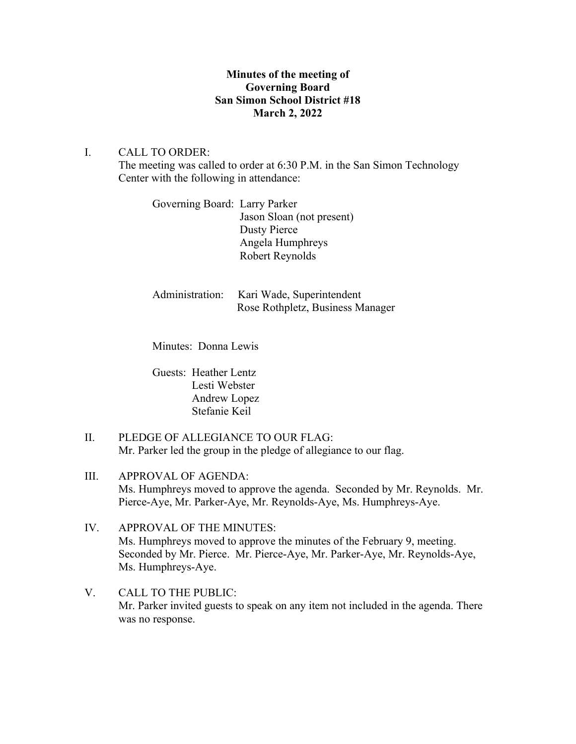# **Minutes of the meeting of Governing Board San Simon School District #18 March 2, 2022**

# I. CALL TO ORDER:

The meeting was called to order at 6:30 P.M. in the San Simon Technology Center with the following in attendance:

Governing Board: Larry Parker Jason Sloan (not present) Dusty Pierce Angela Humphreys Robert Reynolds

| Administration: Kari Wade, Superintendent |
|-------------------------------------------|
| Rose Rothpletz, Business Manager          |

Minutes: Donna Lewis

Guests: Heather Lentz Lesti Webster Andrew Lopez Stefanie Keil

- II. PLEDGE OF ALLEGIANCE TO OUR FLAG: Mr. Parker led the group in the pledge of allegiance to our flag.
- III. APPROVAL OF AGENDA: Ms. Humphreys moved to approve the agenda. Seconded by Mr. Reynolds. Mr. Pierce-Aye, Mr. Parker-Aye, Mr. Reynolds-Aye, Ms. Humphreys-Aye.
- IV. APPROVAL OF THE MINUTES: Ms. Humphreys moved to approve the minutes of the February 9, meeting. Seconded by Mr. Pierce. Mr. Pierce-Aye, Mr. Parker-Aye, Mr. Reynolds-Aye, Ms. Humphreys-Aye.
- V. CALL TO THE PUBLIC: Mr. Parker invited guests to speak on any item not included in the agenda. There was no response.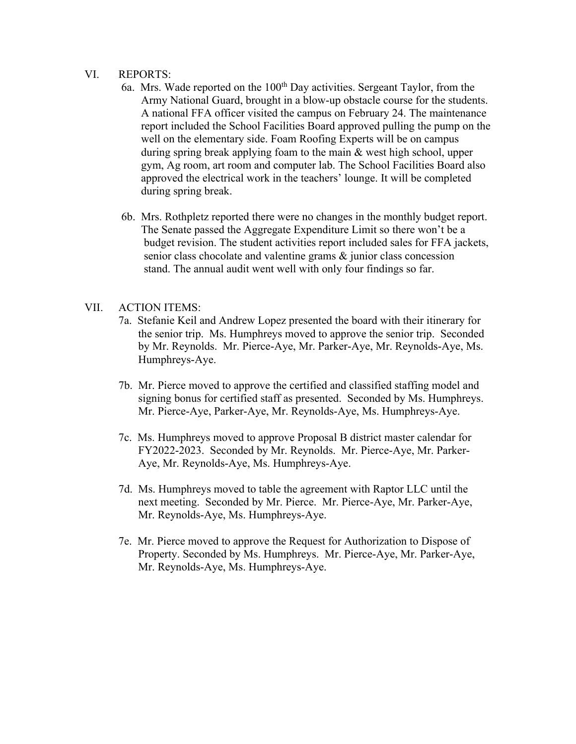### VI. REPORTS:

- 6a. Mrs. Wade reported on the  $100<sup>th</sup>$  Day activities. Sergeant Taylor, from the Army National Guard, brought in a blow-up obstacle course for the students. A national FFA officer visited the campus on February 24. The maintenance report included the School Facilities Board approved pulling the pump on the well on the elementary side. Foam Roofing Experts will be on campus during spring break applying foam to the main & west high school, upper gym, Ag room, art room and computer lab. The School Facilities Board also approved the electrical work in the teachers' lounge. It will be completed during spring break.
- 6b. Mrs. Rothpletz reported there were no changes in the monthly budget report. The Senate passed the Aggregate Expenditure Limit so there won't be a budget revision. The student activities report included sales for FFA jackets, senior class chocolate and valentine grams  $\&$  junior class concession stand. The annual audit went well with only four findings so far.

# VII. ACTION ITEMS:

- 7a. Stefanie Keil and Andrew Lopez presented the board with their itinerary for the senior trip. Ms. Humphreys moved to approve the senior trip. Seconded by Mr. Reynolds. Mr. Pierce-Aye, Mr. Parker-Aye, Mr. Reynolds-Aye, Ms. Humphreys-Aye.
- 7b. Mr. Pierce moved to approve the certified and classified staffing model and signing bonus for certified staff as presented. Seconded by Ms. Humphreys. Mr. Pierce-Aye, Parker-Aye, Mr. Reynolds-Aye, Ms. Humphreys-Aye.
- 7c. Ms. Humphreys moved to approve Proposal B district master calendar for FY2022-2023. Seconded by Mr. Reynolds. Mr. Pierce-Aye, Mr. Parker- Aye, Mr. Reynolds-Aye, Ms. Humphreys-Aye.
- 7d. Ms. Humphreys moved to table the agreement with Raptor LLC until the next meeting. Seconded by Mr. Pierce. Mr. Pierce-Aye, Mr. Parker-Aye, Mr. Reynolds-Aye, Ms. Humphreys-Aye.
- 7e. Mr. Pierce moved to approve the Request for Authorization to Dispose of Property. Seconded by Ms. Humphreys. Mr. Pierce-Aye, Mr. Parker-Aye, Mr. Reynolds-Aye, Ms. Humphreys-Aye.